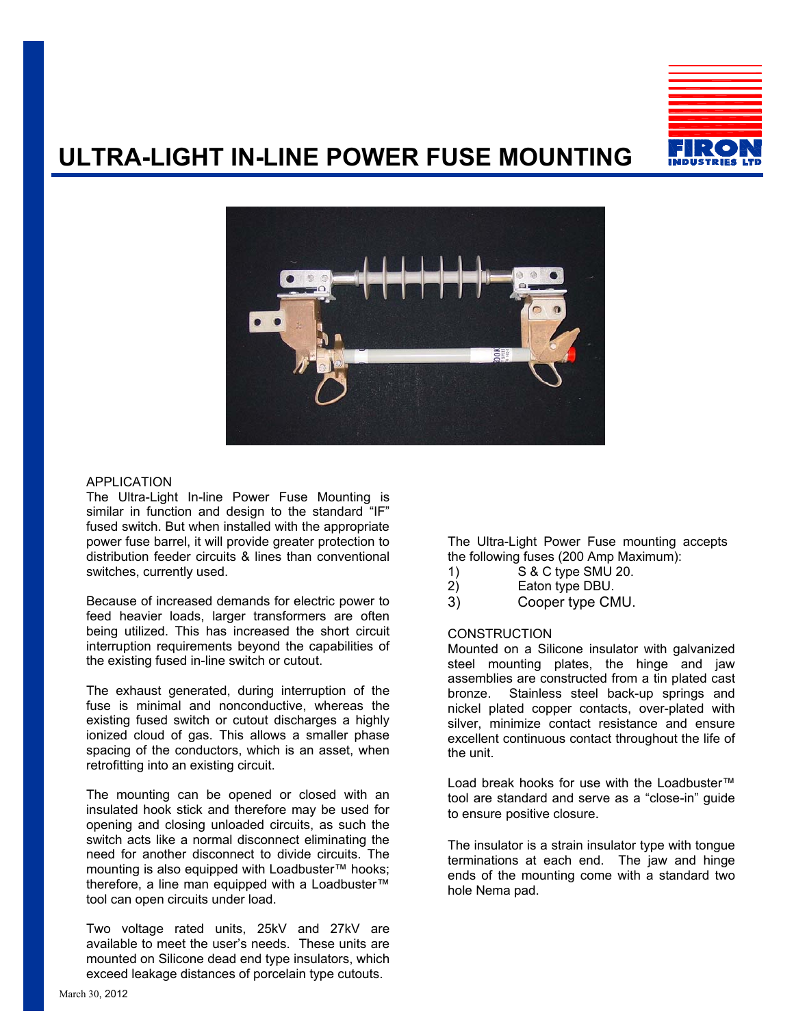

## **ULTRA-LIGHT IN-LINE POWER FUSE MOUNTING**



#### APPLICATION

The Ultra-Light In-line Power Fuse Mounting is similar in function and design to the standard "IF" fused switch. But when installed with the appropriate power fuse barrel, it will provide greater protection to distribution feeder circuits & lines than conventional switches, currently used.

Because of increased demands for electric power to feed heavier loads, larger transformers are often being utilized. This has increased the short circuit interruption requirements beyond the capabilities of the existing fused in-line switch or cutout.

The exhaust generated, during interruption of the fuse is minimal and nonconductive, whereas the existing fused switch or cutout discharges a highly ionized cloud of gas. This allows a smaller phase spacing of the conductors, which is an asset, when retrofitting into an existing circuit.

The mounting can be opened or closed with an insulated hook stick and therefore may be used for opening and closing unloaded circuits, as such the switch acts like a normal disconnect eliminating the need for another disconnect to divide circuits. The mounting is also equipped with Loadbuster™ hooks; therefore, a line man equipped with a Loadbuster™ tool can open circuits under load.

Two voltage rated units, 25kV and 27kV are available to meet the user's needs. These units are mounted on Silicone dead end type insulators, which exceed leakage distances of porcelain type cutouts.

The Ultra-Light Power Fuse mounting accepts the following fuses (200 Amp Maximum):

- 1) S & C type SMU 20.
- 2) Eaton type DBU.
- 3) Cooper type CMU.

### **CONSTRUCTION**

Mounted on a Silicone insulator with galvanized steel mounting plates, the hinge and jaw assemblies are constructed from a tin plated cast bronze. Stainless steel back-up springs and nickel plated copper contacts, over-plated with silver, minimize contact resistance and ensure excellent continuous contact throughout the life of the unit.

Load break hooks for use with the Loadbuster™ tool are standard and serve as a "close-in" guide to ensure positive closure.

The insulator is a strain insulator type with tongue terminations at each end. The jaw and hinge ends of the mounting come with a standard two hole Nema pad.